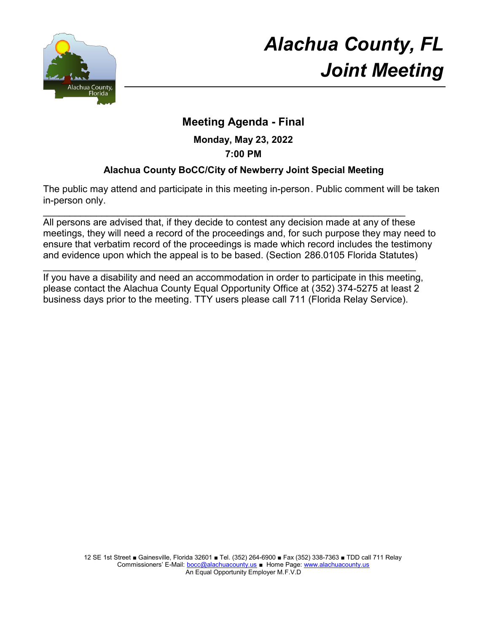

# **Meeting Agenda - Final**

## **Monday, May 23, 2022**

## **7:00 PM**

## **Alachua County BoCC/City of Newberry Joint Special Meeting**

The public may attend and participate in this meeting in-person. Public comment will be taken in-person only.

 $\overline{\phantom{a}}$  , and the contribution of the contribution of the contribution of the contribution of the contribution of the contribution of the contribution of the contribution of the contribution of the contribution of the All persons are advised that, if they decide to contest any decision made at any of these meetings, they will need a record of the proceedings and, for such purpose they may need to ensure that verbatim record of the proceedings is made which record includes the testimony and evidence upon which the appeal is to be based. (Section 286.0105 Florida Statutes)

\_\_\_\_\_\_\_\_\_\_\_\_\_\_\_\_\_\_\_\_\_\_\_\_\_\_\_\_\_\_\_\_\_\_\_\_\_\_\_\_\_\_\_\_\_\_\_\_\_\_\_\_\_\_\_\_\_\_\_\_\_\_\_\_\_\_\_\_\_\_ If you have a disability and need an accommodation in order to participate in this meeting, please contact the Alachua County Equal Opportunity Office at (352) 374-5275 at least 2 business days prior to the meeting. TTY users please call 711 (Florida Relay Service).